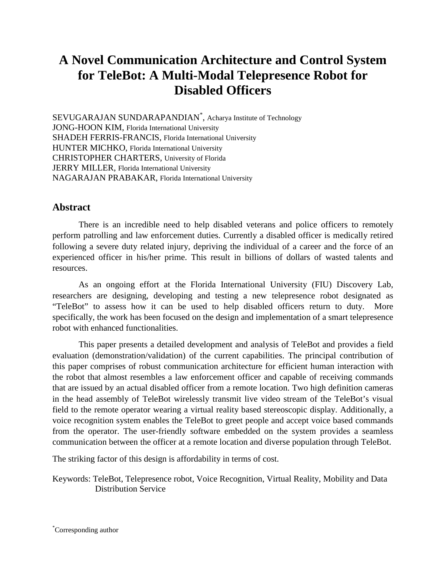# **A Novel Communication Architecture and Control System for TeleBot: A Multi-Modal Telepresence Robot for Disabled Officers**

SEVUGARAJAN SUNDARAPANDIAN\* , Acharya Institute of Technology JONG-HOON KIM, Florida International University SHADEH FERRIS-FRANCIS, Florida International University HUNTER MICHKO, Florida International University CHRISTOPHER CHARTERS, University of Florida JERRY MILLER, Florida International University NAGARAJAN PRABAKAR, Florida International University

# **Abstract**

There is an incredible need to help disabled veterans and police officers to remotely perform patrolling and law enforcement duties. Currently a disabled officer is medically retired following a severe duty related injury, depriving the individual of a career and the force of an experienced officer in his/her prime. This result in billions of dollars of wasted talents and resources.

As an ongoing effort at the Florida International University (FIU) Discovery Lab, researchers are designing, developing and testing a new telepresence robot designated as "TeleBot" to assess how it can be used to help disabled officers return to duty. More specifically, the work has been focused on the design and implementation of a smart telepresence robot with enhanced functionalities.

This paper presents a detailed development and analysis of TeleBot and provides a field evaluation (demonstration/validation) of the current capabilities. The principal contribution of this paper comprises of robust communication architecture for efficient human interaction with the robot that almost resembles a law enforcement officer and capable of receiving commands that are issued by an actual disabled officer from a remote location. Two high definition cameras in the head assembly of TeleBot wirelessly transmit live video stream of the TeleBot's visual field to the remote operator wearing a virtual reality based stereoscopic display. Additionally, a voice recognition system enables the TeleBot to greet people and accept voice based commands from the operator. The user-friendly software embedded on the system provides a seamless communication between the officer at a remote location and diverse population through TeleBot.

The striking factor of this design is affordability in terms of cost.

Keywords: TeleBot, Telepresence robot, Voice Recognition, Virtual Reality, Mobility and Data Distribution Service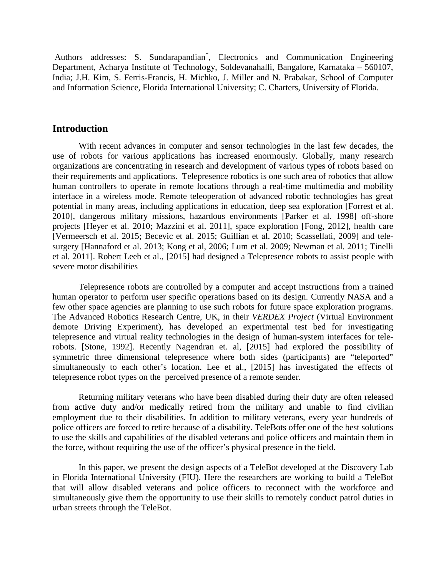Authors addresses: S. Sundarapandian\* , Electronics and Communication Engineering Department, Acharya Institute of Technology, Soldevanahalli, Bangalore, Karnataka – 560107, India; J.H. Kim, S. Ferris-Francis, H. Michko, J. Miller and N. Prabakar, School of Computer and Information Science, Florida International University; C. Charters, University of Florida.

## **Introduction**

With recent advances in computer and sensor technologies in the last few decades, the use of robots for various applications has increased enormously. Globally, many research organizations are concentrating in research and development of various types of robots based on their requirements and applications. Telepresence robotics is one such area of [robotics](http://en.wikipedia.org/wiki/Robotics) that allow human controllers to operate in remote locations through a real-time multimedia and mobility interface in a wireless mode. Remote teleoperation of advanced robotic technologies has great potential in many areas, including applications in education, deep sea exploration [Forrest et al. 2010], dangerous military missions, hazardous environments [Parker et al. 1998] off-shore projects [Heyer et al. 2010; Mazzini et al. 2011], space exploration [Fong, 2012], health care [Vermeersch et al. 2015; Becevic et al. 2015; Guillian et al. 2010; Scassellati, 2009] and telesurgery [Hannaford et al. 2013; Kong et al, 2006; Lum et al. 2009; Newman et al. 2011; Tinelli et al. 2011]. Robert Leeb et al., [2015] had designed a Telepresence robots to assist people with severe motor disabilities

Telepresence robots are controlled by a computer and accept instructions from a trained human operator to perform user specific operations based on its design. Currently NASA and a few other space agencies are planning to use such robots for future space exploration programs. The Advanced Robotics Research Centre, UK, in their *VERDEX Project* (Virtual Environment demote Driving Experiment), has developed an experimental test bed for investigating telepresence and virtual reality technologies in the design of human-system interfaces for telerobots. [Stone, 1992]. Recently Nagendran et. al, [2015] had explored the possibility of symmetric three dimensional telepresence where both sides (participants) are "teleported" simultaneously to each other's location. Lee et al., [2015] has investigated the effects of telepresence robot types on the perceived presence of a remote sender.

Returning military veterans who have been disabled during their duty are often released from active duty and/or medically retired from the military and unable to find civilian employment due to their disabilities. In addition to military veterans, every year hundreds of police officers are forced to retire because of a disability. TeleBots offer one of the best solutions to use the skills and capabilities of the disabled veterans and police officers and maintain them in the force, without requiring the use of the officer's physical presence in the field.

In this paper, we present the design aspects of a TeleBot developed at the Discovery Lab in Florida International University (FIU). Here the researchers are working to build a TeleBot that will allow disabled veterans and police officers to reconnect with the workforce and simultaneously give them the opportunity to use their skills to remotely conduct patrol duties in urban streets through the TeleBot.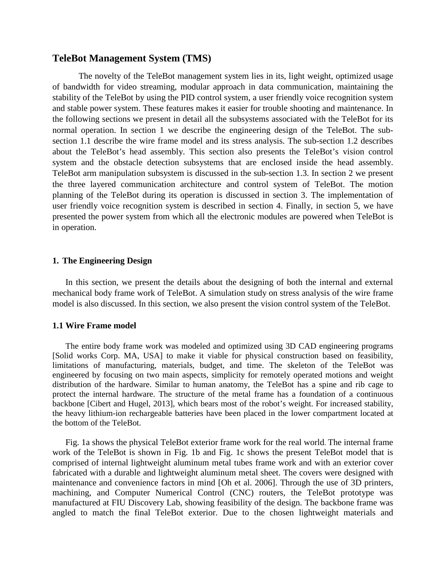#### **TeleBot Management System (TMS)**

The novelty of the TeleBot management system lies in its, light weight, optimized usage of bandwidth for video streaming, modular approach in data communication, maintaining the stability of the TeleBot by using the PID control system, a user friendly voice recognition system and stable power system. These features makes it easier for trouble shooting and maintenance. In the following sections we present in detail all the subsystems associated with the TeleBot for its normal operation. In section 1 we describe the engineering design of the TeleBot. The subsection 1.1 describe the wire frame model and its stress analysis. The sub-section 1.2 describes about the TeleBot's head assembly. This section also presents the TeleBot's vision control system and the obstacle detection subsystems that are enclosed inside the head assembly. TeleBot arm manipulation subsystem is discussed in the sub-section 1.3. In section 2 we present the three layered communication architecture and control system of TeleBot. The motion planning of the TeleBot during its operation is discussed in section 3. The implementation of user friendly voice recognition system is described in section 4. Finally, in section 5, we have presented the power system from which all the electronic modules are powered when TeleBot is in operation.

#### **1. The Engineering Design**

In this section, we present the details about the designing of both the internal and external mechanical body frame work of TeleBot. A simulation study on stress analysis of the wire frame model is also discussed. In this section, we also present the vision control system of the TeleBot.

#### **1.1 Wire Frame model**

The entire body frame work was modeled and optimized using 3D CAD engineering programs [Solid works Corp. MA, USA] to make it viable for physical construction based on feasibility, limitations of manufacturing, materials, budget, and time. The skeleton of the TeleBot was engineered by focusing on two main aspects, simplicity for remotely operated motions and weight distribution of the hardware. Similar to human anatomy, the TeleBot has a spine and rib cage to protect the internal hardware. The structure of the metal frame has a foundation of a continuous backbone [Cibert and Hugel, 2013], which bears most of the robot's weight. For increased stability, the heavy lithium-ion rechargeable batteries have been placed in the lower compartment located at the bottom of the TeleBot.

Fig. 1a shows the physical TeleBot exterior frame work for the real world. The internal frame work of the TeleBot is shown in Fig. 1b and Fig. 1c shows the present TeleBot model that is comprised of internal lightweight aluminum metal tubes frame work and with an exterior cover fabricated with a durable and lightweight aluminum metal sheet. The covers were designed with maintenance and convenience factors in mind [Oh et al. 2006]. Through the use of 3D printers, machining, and Computer Numerical Control (CNC) routers, the TeleBot prototype was manufactured at FIU Discovery Lab, showing feasibility of the design. The backbone frame was angled to match the final TeleBot exterior. Due to the chosen lightweight materials and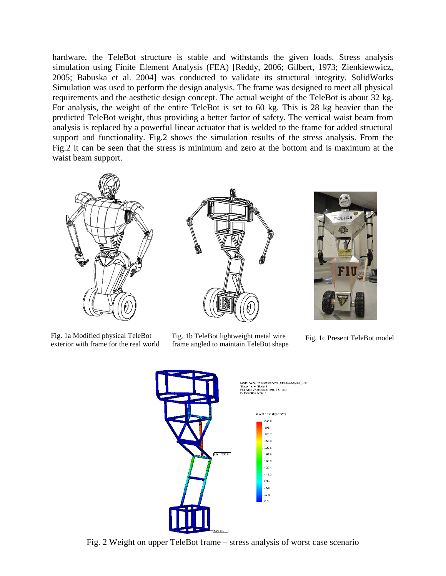hardware, the TeleBot structure is stable and withstands the given loads. Stress analysis simulation using Finite Element Analysis (FEA) [Reddy, 2006; Gilbert, 1973; Zienkiewwicz, 2005; Babuska et al. 2004] was conducted to validate its structural integrity. SolidWorks Simulation was used to perform the design analysis. The frame was designed to meet all physical requirements and the aesthetic design concept. The actual weight of the TeleBot is about 32 kg. For analysis, the weight of the entire TeleBot is set to 60 kg. This is 28 kg heavier than the predicted TeleBot weight, thus providing a better factor of safety. The vertical waist beam from analysis is replaced by a powerful linear actuator that is welded to the frame for added structural support and functionality. Fig.2 shows the simulation results of the stress analysis. From the Fig.2 it can be seen that the stress is minimum and zero at the bottom and is maximum at the waist beam support.



Fig. 1a Modified physical TeleBot exterior with frame for the real world



Fig. 1b TeleBot lightweight metal wire Fig. 1b TeleBot lightweight metal wire Fig. 1c Present TeleBot model frame angled to maintain TeleBot shape





Fig. 2 Weight on upper TeleBot frame – stress analysis of worst case scenario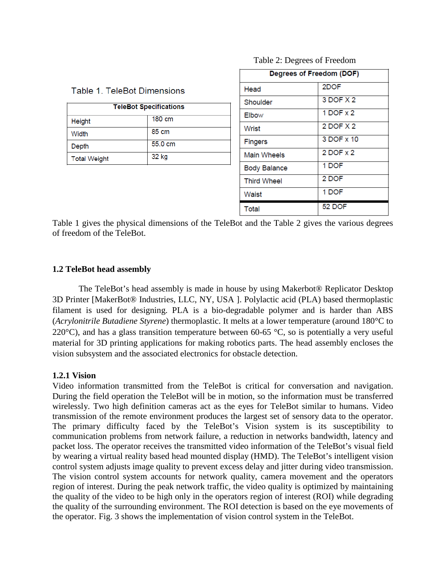| Degrees of Freedom (DOF) |               |
|--------------------------|---------------|
| Head                     | 2DOF          |
| Shoulder                 | 3 DOF X 2     |
| <b>Elbow</b>             | $1$ DOF $x$ 2 |
| Wrist                    | 2 DOF X 2     |
| <b>Fingers</b>           | 3 DOF x 10    |
| <b>Main Wheels</b>       | 2 DOF x 2     |
| <b>Body Balance</b>      | 1 DOF         |
| <b>Third Wheel</b>       | 2 DOF         |
| Waist                    | 1 DOF         |
| Total                    | <b>52 DOF</b> |

#### Table 2: Degrees of Freedom

Table 1 gives the physical dimensions of the TeleBot and the Table 2 gives the various degrees of freedom of the TeleBot.

# **1.2 TeleBot head assembly**

Height

Width

**Depth** 

**Total Weight** 

Table 1. TeleBot Dimensions

**TeleBot Specifications** 

180 cm

 $85 \text{ cm}$ 

32 kg

55.0 cm

The TeleBot's head assembly is made in house by using Makerbot® Replicator Desktop 3D Printer [MakerBot® Industries, LLC, NY, USA ]. Polylactic acid (PLA) based thermoplastic filament is used for designing. PLA is a bio-degradable polymer and is harder than ABS (*Acrylonitrile Butadiene Styrene*) thermoplastic. It melts at a lower temperature (around 180°C to 220 $^{\circ}$ C), and has a glass transition temperature between 60-65  $^{\circ}$ C, so is potentially a very useful material for 3D printing applications for making robotics parts. The head assembly encloses the vision subsystem and the associated electronics for obstacle detection.

# **1.2.1 Vision**

Video information transmitted from the TeleBot is critical for conversation and navigation. During the field operation the TeleBot will be in motion, so the information must be transferred wirelessly. Two high definition cameras act as the eyes for TeleBot similar to humans. Video transmission of the remote environment produces the largest set of sensory data to the operator. The primary difficulty faced by the TeleBot's Vision system is its susceptibility to communication problems from network failure, a reduction in networks bandwidth, latency and packet loss. The operator receives the transmitted video information of the TeleBot's visual field by wearing a virtual reality based head mounted display (HMD). The TeleBot's intelligent vision control system adjusts image quality to prevent excess delay and jitter during video transmission. The vision control system accounts for network quality, camera movement and the operators region of interest. During the peak network traffic, the video quality is optimized by maintaining the quality of the video to be high only in the operators region of interest (ROI) while degrading the quality of the surrounding environment. The ROI detection is based on the eye movements of the operator. Fig. 3 shows the implementation of vision control system in the TeleBot.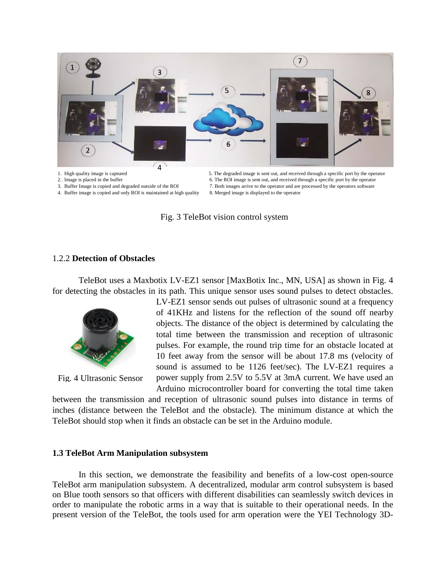

- 
- 4. Buffer image is copied and only ROI is maintained at high quality

7. Both images arrive to the operator and are processed by the operators software 8. Merged image is displayed to the operator

Fig. 3 TeleBot vision control system

#### 1.2.2 **Detection of Obstacles**

TeleBot uses a Maxbotix LV-EZ1 sensor [MaxBotix Inc., MN, USA] as shown in Fig. 4 for detecting the obstacles in its path. This unique sensor uses sound pulses to detect obstacles.



Fig. 4 Ultrasonic Sensor

LV-EZ1 sensor sends out pulses of ultrasonic sound at a frequency of 41KHz and listens for the reflection of the sound off nearby objects. The distance of the object is determined by calculating the total time between the transmission and reception of ultrasonic pulses. For example, the round trip time for an obstacle located at 10 feet away from the sensor will be about 17.8 ms (velocity of sound is assumed to be 1126 feet/sec). The LV-EZ1 requires a power supply from 2.5V to 5.5V at 3mA current. We have used an Arduino microcontroller board for converting the total time taken

between the transmission and reception of ultrasonic sound pulses into distance in terms of inches (distance between the TeleBot and the obstacle). The minimum distance at which the TeleBot should stop when it finds an obstacle can be set in the Arduino module.

#### **1.3 TeleBot Arm Manipulation subsystem**

In this section, we demonstrate the feasibility and benefits of a low-cost open-source TeleBot arm manipulation subsystem. A decentralized, modular arm control subsystem is based on Blue tooth sensors so that officers with different disabilities can seamlessly switch devices in order to manipulate the robotic arms in a way that is suitable to their operational needs. In the present version of the TeleBot, the tools used for arm operation were the YEI Technology 3D-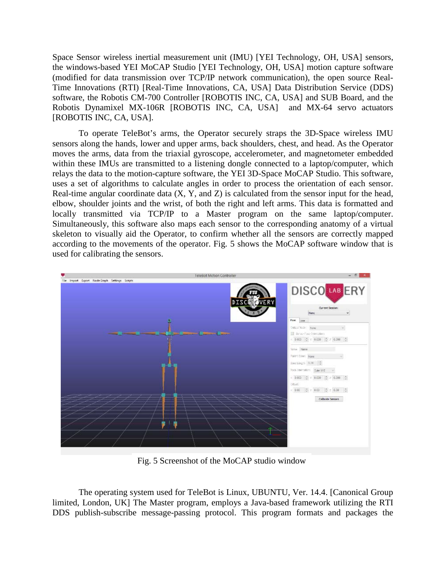Space Sensor wireless inertial measurement unit (IMU) [YEI Technology, OH, USA] sensors, the windows-based YEI MoCAP Studio [YEI Technology, OH, USA] motion capture software (modified for data transmission over TCP/IP network communication), the open source Real-Time Innovations (RTI) [Real-Time Innovations, CA, USA] Data Distribution Service (DDS) software, the Robotis CM-700 Controller [ROBOTIS INC, CA, USA] and SUB Board, and the Robotis Dynamixel MX-106R [ROBOTIS INC, CA, USA] and MX-64 servo actuators [ROBOTIS INC, CA, USA].

To operate TeleBot's arms, the Operator securely straps the 3D-Space wireless IMU sensors along the hands, lower and upper arms, back shoulders, chest, and head. As the Operator moves the arms, data from the triaxial gyroscope, accelerometer, and magnetometer embedded within these IMUs are transmitted to a listening dongle connected to a laptop/computer, which relays the data to the motion-capture software, the YEI 3D-Space MoCAP Studio. This software, uses a set of algorithms to calculate angles in order to process the orientation of each sensor. Real-time angular coordinate data (X, Y, and Z) is calculated from the sensor input for the head, elbow, shoulder joints and the wrist, of both the right and left arms. This data is formatted and locally transmitted via TCP/IP to a Master program on the same laptop/computer. Simultaneously, this software also maps each sensor to the corresponding anatomy of a virtual skeleton to visually aid the Operator, to confirm whether all the sensors are correctly mapped according to the movements of the operator. Fig. 5 shows the MoCAP software window that is used for calibrating the sensors.



Fig. 5 Screenshot of the MoCAP studio window

The operating system used for TeleBot is Linux, UBUNTU, Ver. 14.4. [Canonical Group limited, London, UK] The Master program, employs a Java-based framework utilizing the RTI DDS publish-subscribe message-passing protocol. This program formats and packages the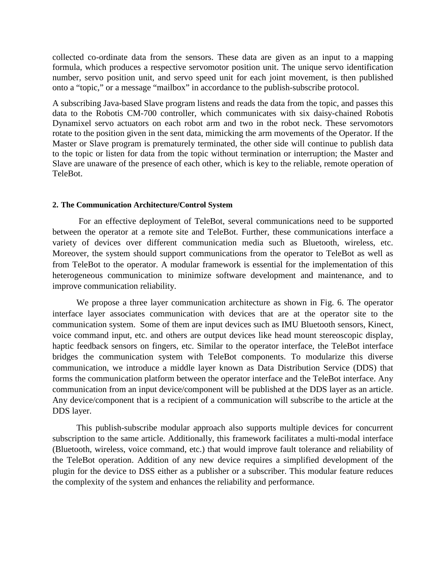collected co-ordinate data from the sensors. These data are given as an input to a mapping formula, which produces a respective servomotor position unit. The unique servo identification number, servo position unit, and servo speed unit for each joint movement, is then published onto a "topic," or a message "mailbox" in accordance to the publish-subscribe protocol.

A subscribing Java-based Slave program listens and reads the data from the topic, and passes this data to the Robotis CM-700 controller, which communicates with six daisy-chained Robotis Dynamixel servo actuators on each robot arm and two in the robot neck. These servomotors rotate to the position given in the sent data, mimicking the arm movements of the Operator. If the Master or Slave program is prematurely terminated, the other side will continue to publish data to the topic or listen for data from the topic without termination or interruption; the Master and Slave are unaware of the presence of each other, which is key to the reliable, remote operation of TeleBot.

#### **2. The Communication Architecture/Control System**

For an effective deployment of TeleBot, several communications need to be supported between the operator at a remote site and TeleBot. Further, these communications interface a variety of devices over different communication media such as Bluetooth, wireless, etc. Moreover, the system should support communications from the operator to TeleBot as well as from TeleBot to the operator. A modular framework is essential for the implementation of this heterogeneous communication to minimize software development and maintenance, and to improve communication reliability.

 We propose a three layer communication architecture as shown in Fig. 6. The operator interface layer associates communication with devices that are at the operator site to the communication system. Some of them are input devices such as IMU Bluetooth sensors, Kinect, voice command input, etc. and others are output devices like head mount stereoscopic display, haptic feedback sensors on fingers, etc. Similar to the operator interface, the TeleBot interface bridges the communication system with TeleBot components. To modularize this diverse communication, we introduce a middle layer known as Data Distribution Service (DDS) that forms the communication platform between the operator interface and the TeleBot interface. Any communication from an input device/component will be published at the DDS layer as an article. Any device/component that is a recipient of a communication will subscribe to the article at the DDS layer.

 This publish-subscribe modular approach also supports multiple devices for concurrent subscription to the same article. Additionally, this framework facilitates a multi-modal interface (Bluetooth, wireless, voice command, etc.) that would improve fault tolerance and reliability of the TeleBot operation. Addition of any new device requires a simplified development of the plugin for the device to DSS either as a publisher or a subscriber. This modular feature reduces the complexity of the system and enhances the reliability and performance.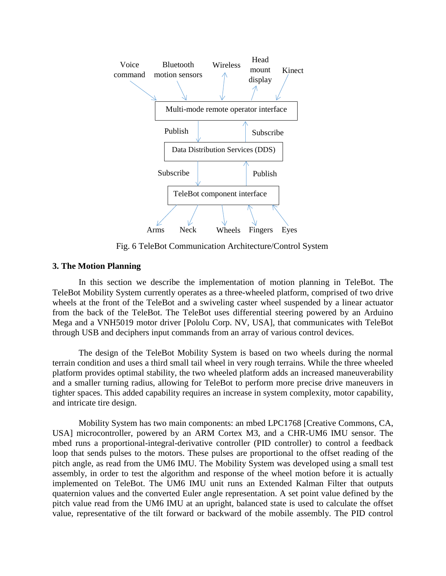

Fig. 6 TeleBot Communication Architecture/Control System

#### **3. The Motion Planning**

In this section we describe the implementation of motion planning in TeleBot. The TeleBot Mobility System currently operates as a three-wheeled platform, comprised of two drive wheels at the front of the TeleBot and a swiveling caster wheel suspended by a linear actuator from the back of the TeleBot. The TeleBot uses differential steering powered by an Arduino Mega and a VNH5019 motor driver [Pololu Corp. NV, USA], that communicates with TeleBot through USB and deciphers input commands from an array of various control devices.

The design of the TeleBot Mobility System is based on two wheels during the normal terrain condition and uses a third small tail wheel in very rough terrains. While the three wheeled platform provides optimal stability, the two wheeled platform adds an increased maneuverability and a smaller turning radius, allowing for TeleBot to perform more precise drive maneuvers in tighter spaces. This added capability requires an increase in system complexity, motor capability, and intricate tire design.

Mobility System has two main components: an mbed LPC1768 [Creative Commons, CA, USA] microcontroller, powered by an ARM Cortex M3, and a CHR-UM6 IMU sensor. The mbed runs a proportional-integral-derivative controller (PID controller) to control a feedback loop that sends pulses to the motors. These pulses are proportional to the offset reading of the pitch angle, as read from the UM6 IMU. The Mobility System was developed using a small test assembly, in order to test the algorithm and response of the wheel motion before it is actually implemented on TeleBot. The UM6 IMU unit runs an Extended Kalman Filter that outputs quaternion values and the converted Euler angle representation. A set point value defined by the pitch value read from the UM6 IMU at an upright, balanced state is used to calculate the offset value, representative of the tilt forward or backward of the mobile assembly. The PID control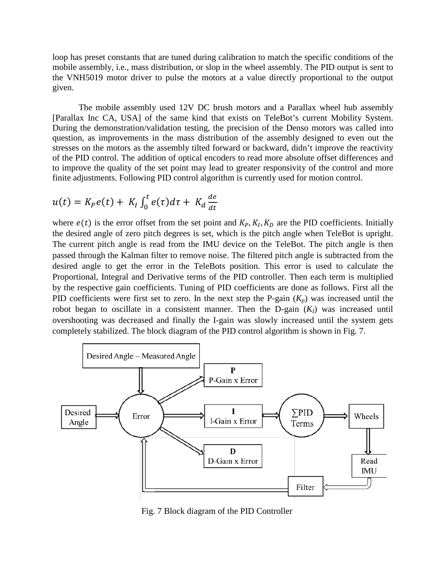loop has preset constants that are tuned during calibration to match the specific conditions of the mobile assembly, i.e., mass distribution, or slop in the wheel assembly. The PID output is sent to the VNH5019 motor driver to pulse the motors at a value directly proportional to the output given.

The mobile assembly used 12V DC brush motors and a Parallax wheel hub assembly [Parallax Inc CA, USA] of the same kind that exists on TeleBot's current Mobility System. During the demonstration/validation testing, the precision of the Denso motors was called into question, as improvements in the mass distribution of the assembly designed to even out the stresses on the motors as the assembly tilted forward or backward, didn't improve the reactivity of the PID control. The addition of optical encoders to read more absolute offset differences and to improve the quality of the set point may lead to greater responsivity of the control and more finite adjustments. Following PID control algorithm is currently used for motion control.

$$
u(t) = K_P e(t) + K_I \int_0^t e(\tau) d\tau + K_d \frac{de}{dt}
$$

where  $e(t)$  is the error offset from the set point and  $K_P$ ,  $K_I$ ,  $K_D$  are the PID coefficients. Initially the desired angle of zero pitch degrees is set, which is the pitch angle when TeleBot is upright. The current pitch angle is read from the IMU device on the TeleBot. The pitch angle is then passed through the Kalman filter to remove noise. The filtered pitch angle is subtracted from the desired angle to get the error in the TeleBots position. This error is used to calculate the Proportional, Integral and Derivative terms of the PID controller. Then each term is multiplied by the respective gain coefficients. Tuning of PID coefficients are done as follows. First all the PID coefficients were first set to zero. In the next step the P-gain  $(K_p)$  was increased until the robot began to oscillate in a consistent manner. Then the D-gain  $(K<sub>I</sub>)$  was increased until overshooting was decreased and finally the I-gain was slowly increased until the system gets completely stabilized. The block diagram of the PID control algorithm is shown in Fig. 7.



Fig. 7 Block diagram of the PID Controller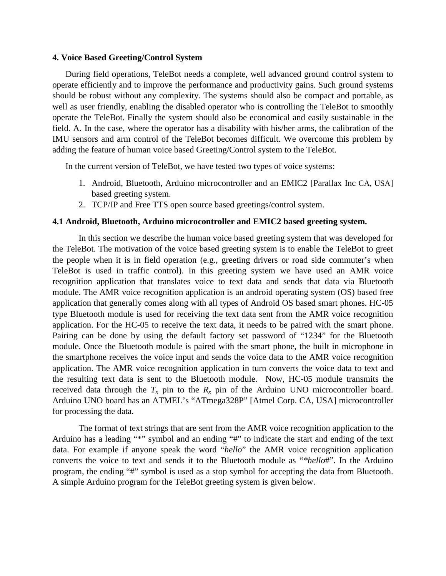#### **4. Voice Based Greeting/Control System**

During field operations, TeleBot needs a complete, well advanced ground control system to operate efficiently and to improve the performance and productivity gains. Such ground systems should be robust without any complexity. The systems should also be compact and portable, as well as user friendly, enabling the disabled operator who is controlling the TeleBot to smoothly operate the TeleBot. Finally the system should also be economical and easily sustainable in the field. A. In the case, where the operator has a disability with his/her arms, the calibration of the IMU sensors and arm control of the TeleBot becomes difficult. We overcome this problem by adding the feature of human voice based Greeting/Control system to the TeleBot.

In the current version of TeleBot, we have tested two types of voice systems:

- 1. Android, Bluetooth, Arduino microcontroller and an EMIC2 [Parallax Inc CA, USA] based greeting system.
- 2. TCP/IP and Free TTS open source based greetings/control system.

#### **4.1 Android, Bluetooth, Arduino microcontroller and EMIC2 based greeting system.**

In this section we describe the human voice based greeting system that was developed for the TeleBot. The motivation of the voice based greeting system is to enable the TeleBot to greet the people when it is in field operation (e.g., greeting drivers or road side commuter's when TeleBot is used in traffic control). In this greeting system we have used an AMR voice recognition application that translates voice to text data and sends that data via Bluetooth module. The AMR voice recognition application is an android operating system (OS) based free application that generally comes along with all types of Android OS based smart phones. HC-05 type Bluetooth module is used for receiving the text data sent from the AMR voice recognition application. For the HC-05 to receive the text data, it needs to be paired with the smart phone. Pairing can be done by using the default factory set password of "1234" for the Bluetooth module. Once the Bluetooth module is paired with the smart phone, the built in microphone in the smartphone receives the voice input and sends the voice data to the AMR voice recognition application. The AMR voice recognition application in turn converts the voice data to text and the resulting text data is sent to the Bluetooth module. Now, HC-05 module transmits the received data through the  $T_x$  pin to the  $R_x$  pin of the Arduino UNO microcontroller board. Arduino UNO board has an ATMEL's "ATmega328P" [Atmel Corp. CA, USA] microcontroller for processing the data.

The format of text strings that are sent from the AMR voice recognition application to the Arduino has a leading "\*" symbol and an ending "#" to indicate the start and ending of the text data. For example if anyone speak the word "*hello*" the AMR voice recognition application converts the voice to text and sends it to the Bluetooth module as "*\*hello*#". In the Arduino program, the ending "#" symbol is used as a stop symbol for accepting the data from Bluetooth. A simple Arduino program for the TeleBot greeting system is given below.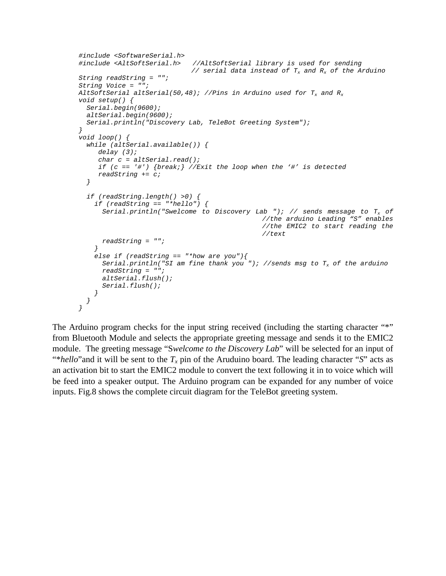```
#include <SoftwareSerial.h>
#include <AltSoftSerial.h> //AltSoftSerial library is used for sending
                              // serial data instead of Tx and Rx of the Arduino
String readString = "";
String Voice = "";
AltSoftSerial altSerial(50,48); //Pins in Arduino used for Tx and Rx
void setup() {
  Serial.begin(9600);
  altSerial.begin(9600);
   Serial.println("Discovery Lab, TeleBot Greeting System"); 
}
void loop() {
  while (altSerial.available()) {
      delay (3);
      char c = altSerial.read();
      if (c == '#') {break;} //Exit the loop when the '#' is detected 
      readString += c; 
   }
  if (readString.length() >0) {
     if (readString == "*hello") {
       Serial.println("Swelcome to Discovery Lab "); // sends message to Tx of
                                               //the arduino Leading "S" enables 
                                                //the EMIC2 to start reading the 
                                                //text
       readString = "";
 }
     else if (readString == "*how are you"){
       Serial.println("SI am fine thank you "); //sends msg to Tx of the arduino
       readString = "";
       altSerial.flush();
       Serial.flush();
     }
  }
}
```
The Arduino program checks for the input string received (including the starting character "\*" from Bluetooth Module and selects the appropriate greeting message and sends it to the EMIC2 module. The greeting message "S*welcome to the Discovery Lab*" will be selected for an input of "\**hello*"and it will be sent to the *Tx* pin of the Aruduino board. The leading character "*S*" acts as an activation bit to start the EMIC2 module to convert the text following it in to voice which will be feed into a speaker output. The Arduino program can be expanded for any number of voice inputs. Fig.8 shows the complete circuit diagram for the TeleBot greeting system.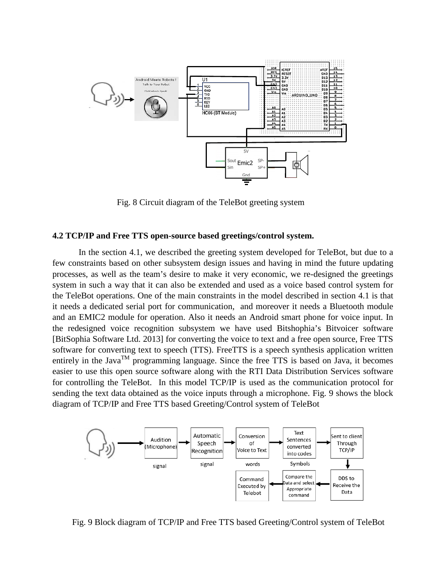

Fig. 8 Circuit diagram of the TeleBot greeting system

#### **4.2 TCP/IP and Free TTS open-source based greetings/control system.**

In the section 4.1, we described the greeting system developed for TeleBot, but due to a few constraints based on other subsystem design issues and having in mind the future updating processes, as well as the team's desire to make it very economic, we re-designed the greetings system in such a way that it can also be extended and used as a voice based control system for the TeleBot operations. One of the main constraints in the model described in section 4.1 is that it needs a dedicated serial port for communication, and moreover it needs a Bluetooth module and an EMIC2 module for operation. Also it needs an Android smart phone for voice input. In the redesigned voice recognition subsystem we have used Bitshophia's Bitvoicer software [BitSophia Software Ltd. 2013] for converting the voice to text and a free open source, Free TTS software for converting text to speech (TTS). FreeTTS is a speech synthesis application written entirely in the Java<sup>TM</sup> programming language. Since the free TTS is based on Java, it becomes easier to use this open source software along with the RTI Data Distribution Services software for controlling the TeleBot. In this model TCP/IP is used as the communication protocol for sending the text data obtained as the voice inputs through a microphone. Fig. 9 shows the block diagram of TCP/IP and Free TTS based Greeting/Control system of TeleBot



Fig. 9 Block diagram of TCP/IP and Free TTS based Greeting/Control system of TeleBot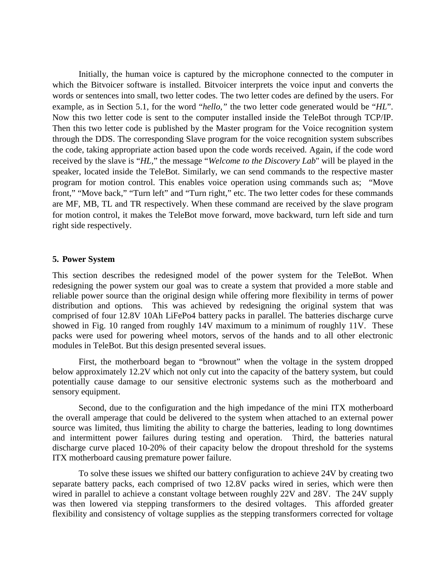Initially, the human voice is captured by the microphone connected to the computer in which the Bitvoicer software is installed. Bitvoicer interprets the voice input and converts the words or sentences into small, two letter codes. The two letter codes are defined by the users. For example, as in Section 5.1, for the word "*hello,"* the two letter code generated would be "*HL*". Now this two letter code is sent to the computer installed inside the TeleBot through TCP/IP. Then this two letter code is published by the Master program for the Voice recognition system through the DDS. The corresponding Slave program for the voice recognition system subscribes the code, taking appropriate action based upon the code words received. Again, if the code word received by the slave is "*HL,*" the message "*Welcome to the Discovery Lab*" will be played in the speaker, located inside the TeleBot. Similarly, we can send commands to the respective master program for motion control. This enables voice operation using commands such as; "Move front," "Move back," "Turn left" and "Turn right," etc. The two letter codes for these commands are MF, MB, TL and TR respectively. When these command are received by the slave program for motion control, it makes the TeleBot move forward, move backward, turn left side and turn right side respectively.

#### **5. Power System**

This section describes the redesigned model of the power system for the TeleBot. When redesigning the power system our goal was to create a system that provided a more stable and reliable power source than the original design while offering more flexibility in terms of power distribution and options. This was achieved by redesigning the original system that was comprised of four 12.8V 10Ah LiFePo4 battery packs in parallel. The batteries discharge curve showed in Fig. 10 ranged from roughly 14V maximum to a minimum of roughly 11V. These packs were used for powering wheel motors, servos of the hands and to all other electronic modules in TeleBot. But this design presented several issues.

First, the motherboard began to "brownout" when the voltage in the system dropped below approximately 12.2V which not only cut into the capacity of the battery system, but could potentially cause damage to our sensitive electronic systems such as the motherboard and sensory equipment.

Second, due to the configuration and the high impedance of the mini ITX motherboard the overall amperage that could be delivered to the system when attached to an external power source was limited, thus limiting the ability to charge the batteries, leading to long downtimes and intermittent power failures during testing and operation. Third, the batteries natural discharge curve placed 10-20% of their capacity below the dropout threshold for the systems ITX motherboard causing premature power failure.

To solve these issues we shifted our battery configuration to achieve 24V by creating two separate battery packs, each comprised of two 12.8V packs wired in series, which were then wired in parallel to achieve a constant voltage between roughly 22V and 28V. The 24V supply was then lowered via stepping transformers to the desired voltages. This afforded greater flexibility and consistency of voltage supplies as the stepping transformers corrected for voltage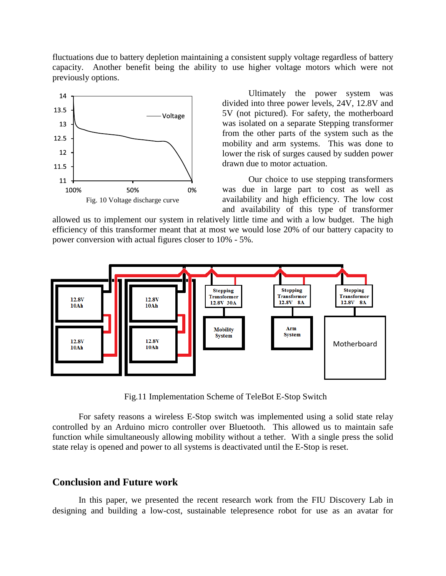fluctuations due to battery depletion maintaining a consistent supply voltage regardless of battery capacity. Another benefit being the ability to use higher voltage motors which were not previously options.



Ultimately the power system was divided into three power levels, 24V, 12.8V and 5V (not pictured). For safety, the motherboard was isolated on a separate Stepping transformer from the other parts of the system such as the mobility and arm systems. This was done to lower the risk of surges caused by sudden power drawn due to motor actuation.

Our choice to use stepping transformers was due in large part to cost as well as availability and high efficiency. The low cost and availability of this type of transformer

allowed us to implement our system in relatively little time and with a low budget. The high efficiency of this transformer meant that at most we would lose 20% of our battery capacity to power conversion with actual figures closer to 10% - 5%.



Fig.11 Implementation Scheme of TeleBot E-Stop Switch

For safety reasons a wireless E-Stop switch was implemented using a solid state relay controlled by an Arduino micro controller over Bluetooth. This allowed us to maintain safe function while simultaneously allowing mobility without a tether. With a single press the solid state relay is opened and power to all systems is deactivated until the E-Stop is reset.

## **Conclusion and Future work**

In this paper, we presented the recent research work from the FIU Discovery Lab in designing and building a low-cost, sustainable telepresence robot for use as an avatar for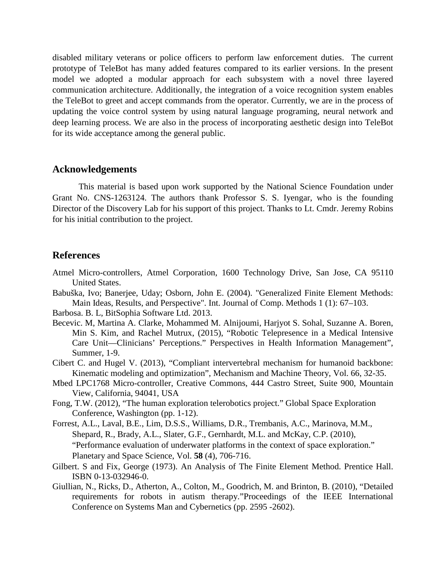disabled military veterans or police officers to perform law enforcement duties. The current prototype of TeleBot has many added features compared to its earlier versions. In the present model we adopted a modular approach for each subsystem with a novel three layered communication architecture. Additionally, the integration of a voice recognition system enables the TeleBot to greet and accept commands from the operator. Currently, we are in the process of updating the voice control system by using natural language programing, neural network and deep learning process. We are also in the process of incorporating aesthetic design into TeleBot for its wide acceptance among the general public.

#### **Acknowledgements**

This material is based upon work supported by the National Science Foundation under Grant No. CNS-1263124. The authors thank Professor S. S. Iyengar, who is the founding Director of the Discovery Lab for his support of this project. Thanks to Lt. Cmdr. Jeremy Robins for his initial contribution to the project.

# **References**

- Atmel Micro-controllers, Atmel Corporation, 1600 Technology Drive, San Jose, CA 95110 United States.
- Babuška, Ivo; Banerjee, Uday; Osborn, John E. (2004). "Generalized Finite Element Methods: Main Ideas, Results, and Perspective". Int. Journal of Comp. Methods 1 (1): 67–103.
- Barbosa. B. L, BitSophia Software Ltd. 2013.
- Becevic. M, Martina A. Clarke, Mohammed M. Alnijoumi, Harjyot S. Sohal, Suzanne A. Boren, Min S. Kim, and Rachel Mutrux, (2015), "Robotic Telepresence in a Medical Intensive Care Unit—Clinicians' Perceptions." Perspectives in Health Information Management", Summer, 1-9.
- Cibert C. and Hugel V. (2013), "Compliant intervertebral mechanism for humanoid backbone: Kinematic modeling and optimization", Mechanism and Machine Theory, Vol. 66, 32-35.
- Mbed LPC1768 Micro-controller, Creative Commons, 444 Castro Street, Suite 900, Mountain View, California, 94041, USA
- Fong, T.W. (2012), "The human exploration telerobotics project." Global Space Exploration Conference, Washington (pp. 1-12).
- Forrest, A.L., Laval, B.E., Lim, D.S.S., Williams, D.R., Trembanis, A.C., Marinova, M.M., Shepard, R., Brady, A.L., Slater, G.F., Gernhardt, M.L. and McKay, C.P. (2010), "Performance evaluation of underwater platforms in the context of space exploration." Planetary and Space Science, Vol. **58** (4), 706-716.
- Gilbert. S and Fix, George (1973). An Analysis of The Finite Element Method. Prentice Hall. ISBN 0-13-032946-0.
- Giullian, N., Ricks, D., Atherton, A., Colton, M., Goodrich, M. and Brinton, B. (2010), "Detailed requirements for robots in autism therapy."Proceedings of the IEEE International Conference on Systems Man and Cybernetics (pp. 2595 -2602).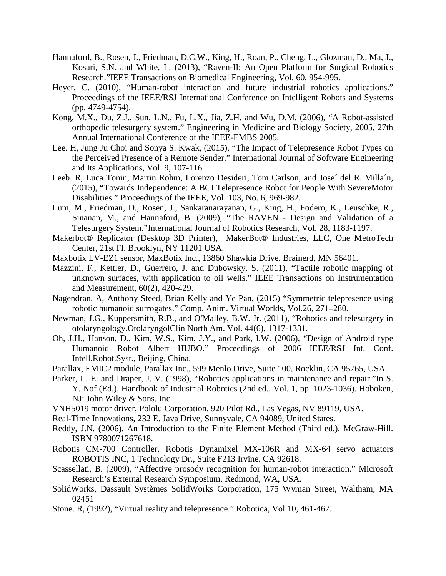- Hannaford, B., Rosen, J., Friedman, D.C.W., King, H., Roan, P., Cheng, L., Glozman, D., Ma, J., Kosari, S.N. and White, L. (2013), "Raven-II: An Open Platform for Surgical Robotics Research."IEEE Transactions on Biomedical Engineering, Vol. 60, 954-995.
- Heyer, C. (2010), "Human-robot interaction and future industrial robotics applications." Proceedings of the IEEE/RSJ International Conference on Intelligent Robots and Systems (pp. 4749-4754).
- Kong, M.X., Du, Z.J., Sun, L.N., Fu, L.X., Jia, Z.H. and Wu, D.M. (2006), "A Robot-assisted orthopedic telesurgery system." Engineering in Medicine and Biology Society, 2005, 27th Annual International Conference of the IEEE-EMBS 2005.
- Lee. H, Jung Ju Choi and Sonya S. Kwak, (2015), "The Impact of Telepresence Robot Types on the Perceived Presence of a Remote Sender." International Journal of Software Engineering and Its Applications, Vol. 9, 107-116.
- Leeb. R, Luca Tonin, Martin Rohm, Lorenzo Desideri, Tom Carlson, and Jose´ del R. Milla´n, (2015), "Towards Independence: A BCI Telepresence Robot for People With SevereMotor Disabilities." Proceedings of the IEEE, Vol. 103, No. 6, 969-982.
- Lum, M., Friedman, D., Rosen, J., Sankaranarayanan, G., King, H., Fodero, K., Leuschke, R., Sinanan, M., and Hannaford, B. (2009), "The RAVEN - Design and Validation of a Telesurgery System."International Journal of Robotics Research, Vol. 28, 1183-1197.
- Makerbot® Replicator (Desktop 3D Printer), MakerBot® Industries, LLC, One MetroTech Center, 21st Fl, Brooklyn, NY 11201 USA.
- Maxbotix LV-EZ1 sensor, MaxBotix Inc., 13860 Shawkia Drive, Brainerd, MN 56401.
- Mazzini, F., Kettler, D., Guerrero, J. and Dubowsky, S. (2011), "Tactile robotic mapping of unknown surfaces, with application to oil wells." IEEE Transactions on Instrumentation and Measurement, 60(2), 420-429.
- Nagendran. A, Anthony Steed, Brian Kelly and Ye Pan, (2015) "Symmetric telepresence using robotic humanoid surrogates." Comp. Anim. Virtual Worlds, Vol.26, 271–280.
- Newman, J.G., Kuppersmith, R.B., and O'Malley, B.W. Jr. (2011), "Robotics and telesurgery in otolaryngology.OtolaryngolClin North Am. Vol. 44(6), 1317-1331.
- Oh, J.H., Hanson, D., Kim, W.S., Kim, J.Y., and Park, I.W. (2006), "Design of Android type Humanoid Robot Albert HUBO." Proceedings of 2006 IEEE/RSJ Int. Conf. Intell.Robot.Syst., Beijing, China.
- Parallax, EMIC2 module, Parallax Inc., 599 Menlo Drive, Suite 100, Rocklin, CA 95765, USA.
- Parker, L. E. and Draper, J. V. (1998), "Robotics applications in maintenance and repair."In S. Y. Nof (Ed.), Handbook of Industrial Robotics (2nd ed., Vol. 1, pp. 1023-1036). Hoboken, NJ: John Wiley & Sons, Inc.
- VNH5019 motor driver, Pololu Corporation, 920 Pilot Rd., Las Vegas, NV 89119, USA.
- Real-Time Innovations, 232 E. Java Drive, Sunnyvale, CA 94089, United States.
- Reddy, J.N. (2006). An Introduction to the Finite Element Method (Third ed.). McGraw-Hill. ISBN 9780071267618.
- Robotis CM-700 Controller, Robotis Dynamixel MX-106R and MX-64 servo actuators ROBOTIS INC, 1 Technology Dr., Suite F213 Irvine. CA 92618.
- Scassellati, B. (2009), "Affective prosody recognition for human-robot interaction." Microsoft Research's External Research Symposium. Redmond, WA, USA.
- SolidWorks, Dassault Systèmes SolidWorks Corporation, 175 Wyman Street, Waltham, MA 02451
- Stone. R, (1992), "Virtual reality and telepresence." Robotica, Vol.10, 461-467.